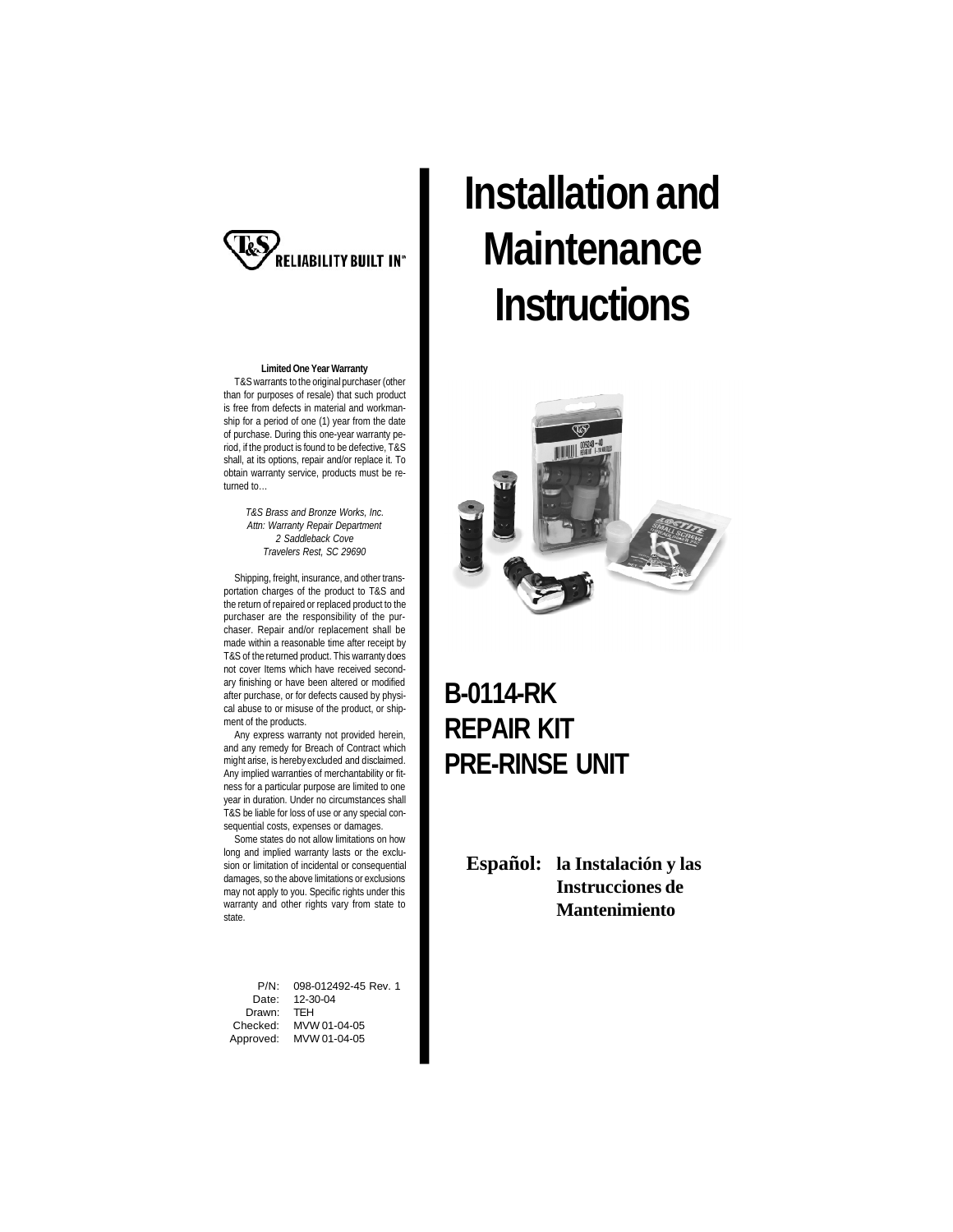

**Limited One Year Warranty** T&Swarrants to the original purchaser (other than for purposes of resale) that such product is free from defects in material and workmanship for a period of one (1) year from the date of purchase. During this one-year warranty period, if the product is found to be defective, T&S shall, at its options, repair and/or replace it. To obtain warranty service, products must be returned to…

> *T&S Brass and Bronze Works, Inc. Attn: Warranty Repair Department 2 Saddleback Cove Travelers Rest, SC 29690*

Shipping, freight, insurance, and other transportation charges of the product to T&S and the return of repaired or replaced product to the purchaser are the responsibility of the purchaser. Repair and/or replacement shall be made within a reasonable time after receipt by T&S of the returned product. This warranty does not cover Items which have received secondary finishing or have been altered or modified after purchase, or for defects caused by physical abuse to or misuse of the product, or shipment of the products.

Any express warranty not provided herein, and any remedy for Breach of Contract which might arise, is herebyexcluded and disclaimed. Any implied warranties of merchantability or fitness for a particular purpose are limited to one year in duration. Under no circumstances shall T&S be liable for loss of use or any special consequential costs, expenses or damages.

Some states do not allow limitations on how long and implied warranty lasts or the exclusion or limitation of incidental or consequential damages, so the above limitations or exclusions may not apply to you. Specific rights under this warranty and other rights vary from state to state.

P/N: 098-012492-45 Rev. 1<br>Date: 12-30-04 Date: 12-30-04 Drawn: TEH<br>Checked: MVV MVW 01-04-05 Approved: MVW 01-04-05

# **Installation and Maintenance Instructions**



### **B-0114-RK REPAIR KIT PRE-RINSE UNIT**

**Español: la Instalación y las Instrucciones de Mantenimiento**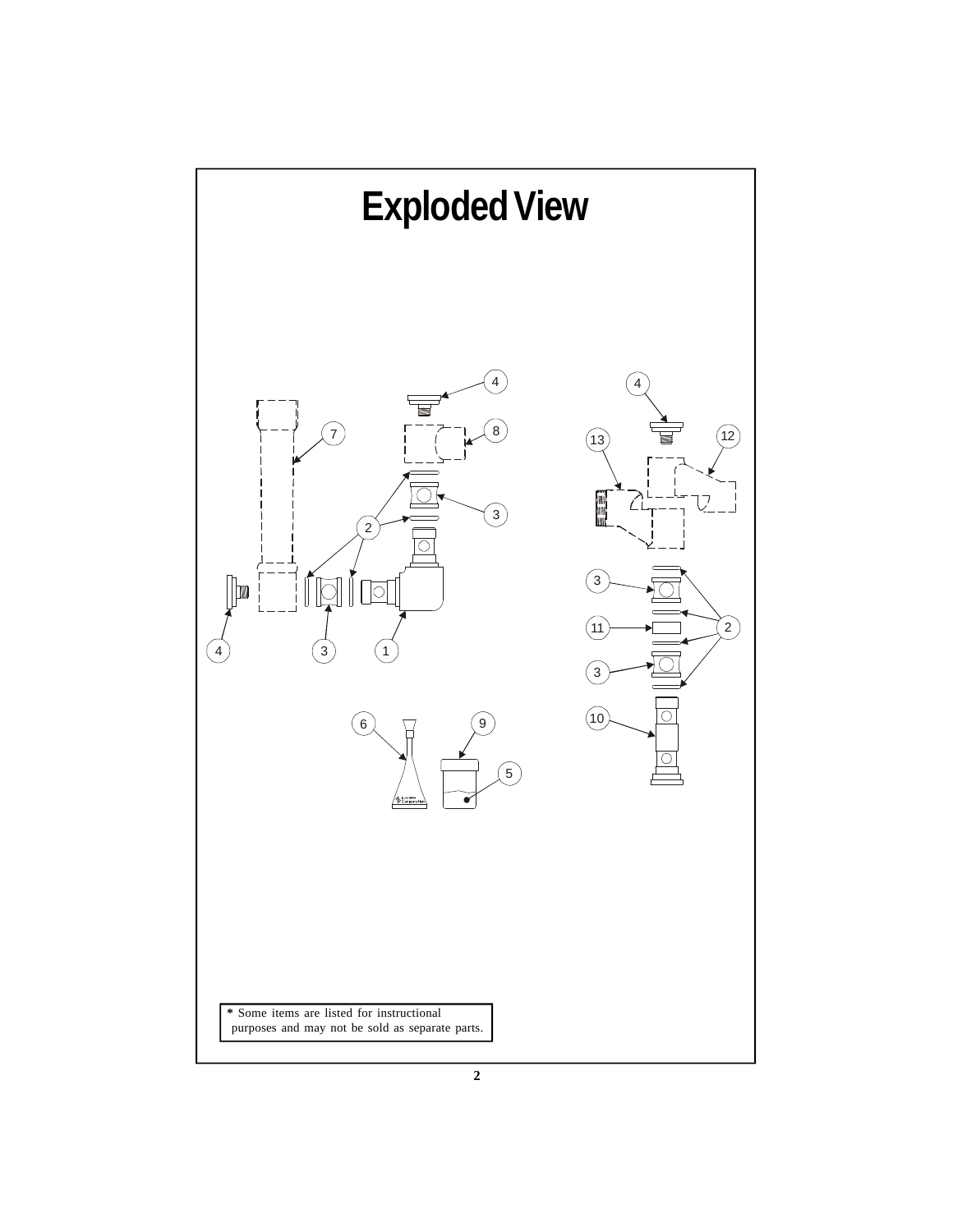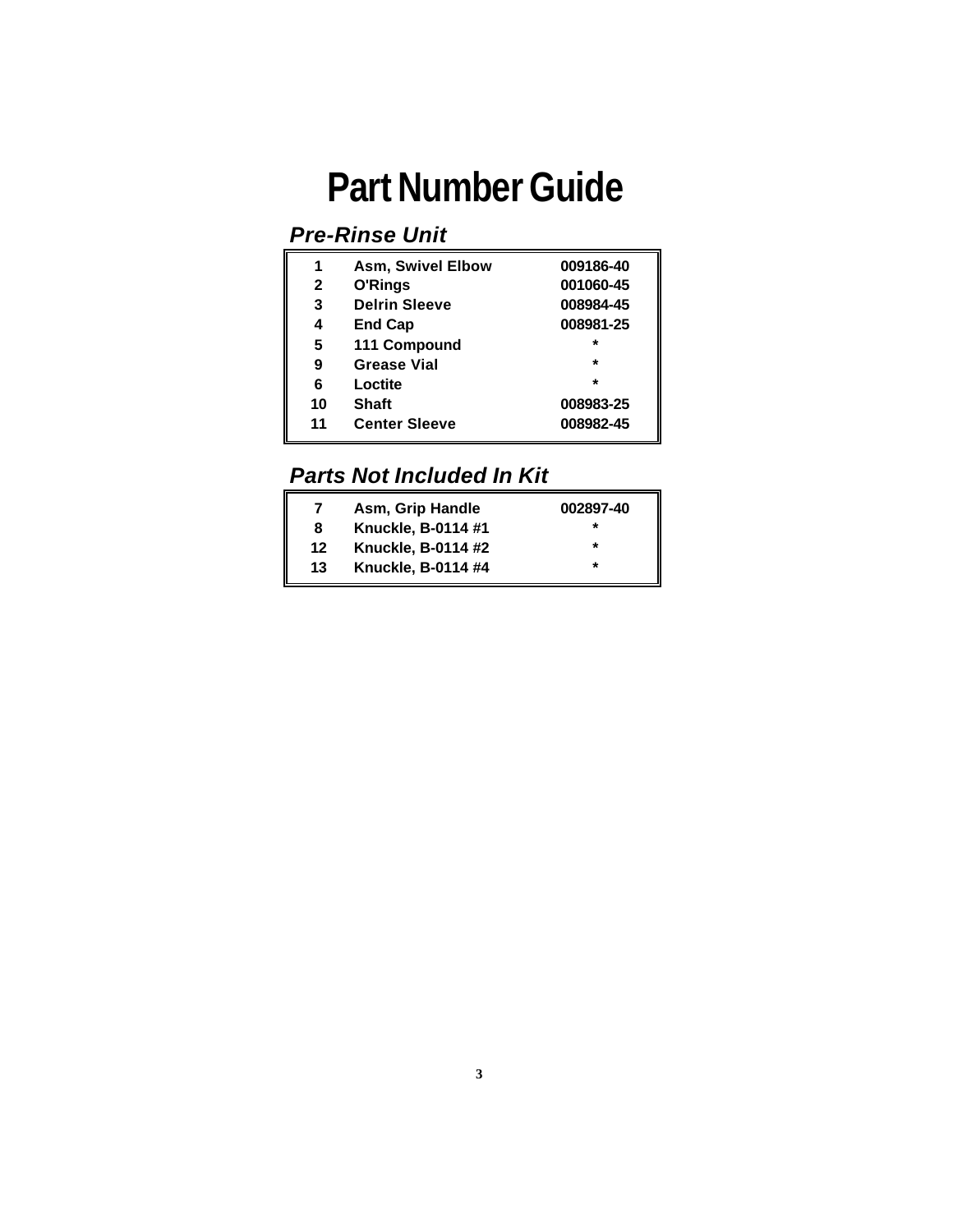## **Part Number Guide**

### *Pre-Rinse Unit*

| 1            | <b>Asm, Swivel Elbow</b> | 009186-40 |
|--------------|--------------------------|-----------|
| $\mathbf{2}$ | O'Rings                  | 001060-45 |
| 3            | <b>Delrin Sleeve</b>     | 008984-45 |
| 4            | <b>End Cap</b>           | 008981-25 |
| 5            | 111 Compound             | $\star$   |
| 9            | <b>Grease Vial</b>       | $\star$   |
| 6            | Loctite                  | $\star$   |
| 10           | <b>Shaft</b>             | 008983-25 |
| 11           | <b>Center Sleeve</b>     | 008982-45 |

### *Parts Not Included In Kit*

| 7  | Asm, Grip Handle          | 002897-40 |
|----|---------------------------|-----------|
| 8  | Knuckle, B-0114 #1        | *         |
| 12 | <b>Knuckle, B-0114 #2</b> | $\star$   |
| 13 | Knuckle, B-0114 #4        | *         |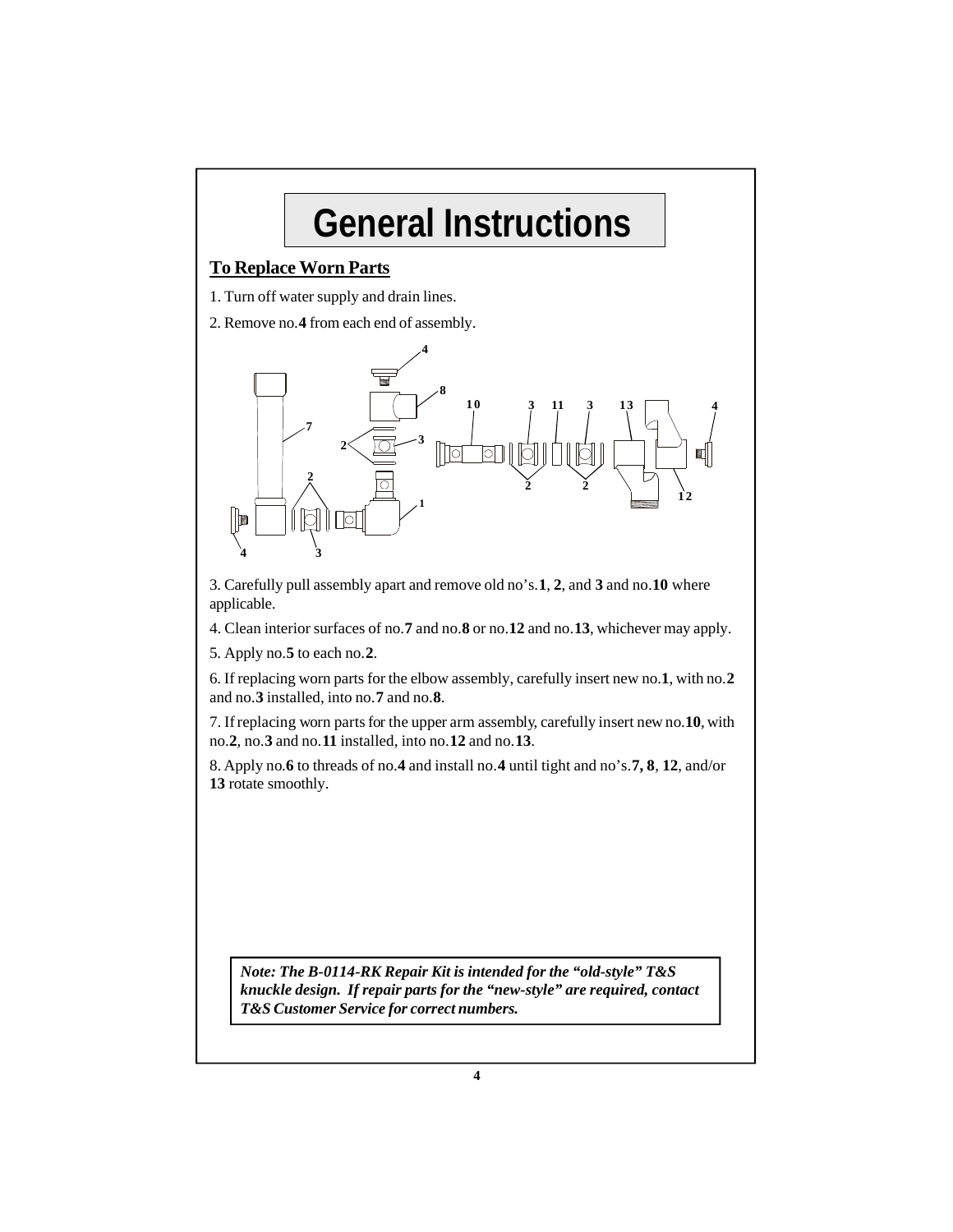## **General Instructions**

#### **To Replace Worn Parts**

1. Turn off water supply and drain lines.

2. Remove no.**4** from each end of assembly.



3. Carefully pull assembly apart and remove old no's.**1**, **2**, and **3** and no.**10** where applicable.

4. Clean interior surfaces of no.**7** and no.**8** or no.**12** and no.**13**, whichever may apply.

5. Apply no.**5** to each no.**2**.

6. If replacing worn parts for the elbow assembly, carefully insert new no.**1**, with no.**2** and no.**3** installed, into no.**7** and no.**8**.

7. If replacing worn parts for the upper arm assembly, carefully insert new no.10, with no.**2**, no.**3** and no.**11** installed, into no.**12** and no.**13**.

8. Apply no.**6** to threads of no.**4** and install no.**4** until tight and no's.**7, 8**, **12**, and/or **13** rotate smoothly.

*Note: The B-0114-RK Repair Kit is intended for the "old-style" T&S knuckle design. If repair parts for the "new-style" are required, contact T&S Customer Service for correct numbers.*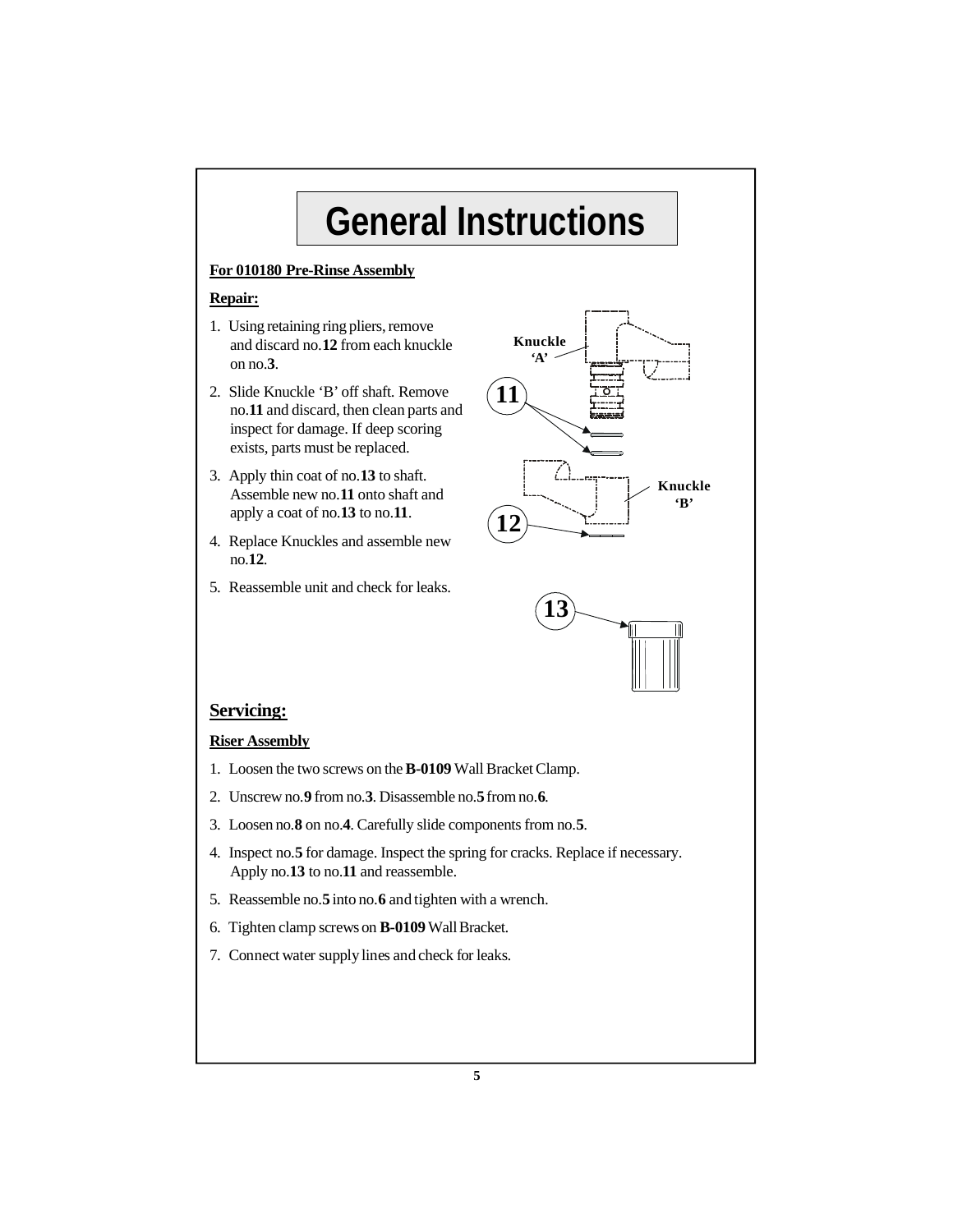## **General Instructions**

#### **For 010180 Pre-Rinse Assembly**

#### **Repair:**

- 1. Using retaining ring pliers, remove and discard no.**12** from each knuckle on no.**3**.
- 2. Slide Knuckle 'B' off shaft. Remove no.**11** and discard, then clean parts and inspect for damage. If deep scoring exists, parts must be replaced.
- 3. Apply thin coat of no.**13** to shaft. Assemble new no.**11** onto shaft and apply a coat of no.**13** to no.**11**.
- 4. Replace Knuckles and assemble new no.**12**.
- 5. Reassemble unit and check for leaks.





#### **Servicing:**

#### **Riser Assembly**

- 1. Loosen the two screws on the **B-0109** Wall Bracket Clamp.
- 2. Unscrew no.**9** from no.**3**. Disassemble no.**5** from no.**6**.
- 3. Loosen no.**8** on no.**4**. Carefully slide components from no.**5**.
- 4. Inspect no.**5** for damage. Inspect the spring for cracks. Replace if necessary. Apply no.**13** to no.**11** and reassemble.
- 5. Reassemble no.**5** into no.**6** and tighten with a wrench.
- 6. Tighten clamp screws on **B-0109** Wall Bracket.
- 7. Connect water supplylines and check for leaks.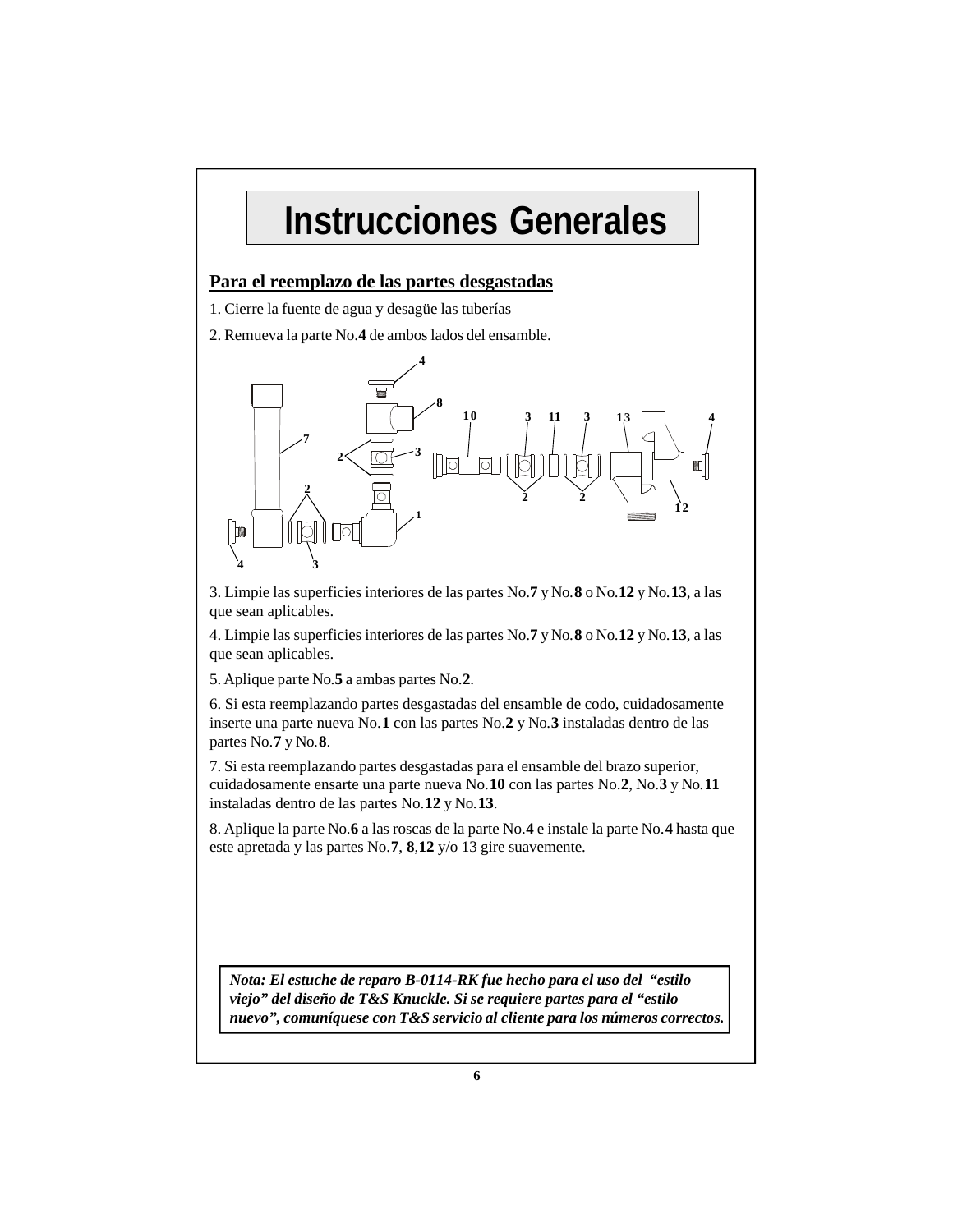### **Instrucciones Generales**

#### **Para el reemplazo de las partes desgastadas**

1. Cierre la fuente de agua y desagüe las tuberías

2. Remueva la parte No.**4** de ambos lados del ensamble.



3. Limpie las superficies interiores de las partes No.**7** y No.**8** o No.**12** y No.**13**, a las que sean aplicables.

4. Limpie las superficies interiores de las partes No.**7** y No.**8** o No.**12** y No.**13**, a las que sean aplicables.

5. Aplique parte No.**5** a ambas partes No.**2**.

6. Si esta reemplazando partes desgastadas del ensamble de codo, cuidadosamente inserte una parte nueva No.**1** con las partes No.**2** y No.**3** instaladas dentro de las partes No.**7** y No.**8**.

7. Si esta reemplazando partes desgastadas para el ensamble del brazo superior, cuidadosamente ensarte una parte nueva No.**10** con las partes No.**2**, No.**3** y No.**11** instaladas dentro de las partes No.**12** y No.**13**.

8. Aplique la parte No.**6** a las roscas de la parte No.**4** e instale la parte No.**4** hasta que este apretada y las partes No.**7**, **8**,**12** y/o 13 gire suavemente.

*Nota: El estuche de reparo B-0114-RK fue hecho para el uso del "estilo viejo" del diseño de T&S Knuckle. Si se requiere partes para el "estilo nuevo", comuníquese con T&S servicio al cliente para los números correctos.*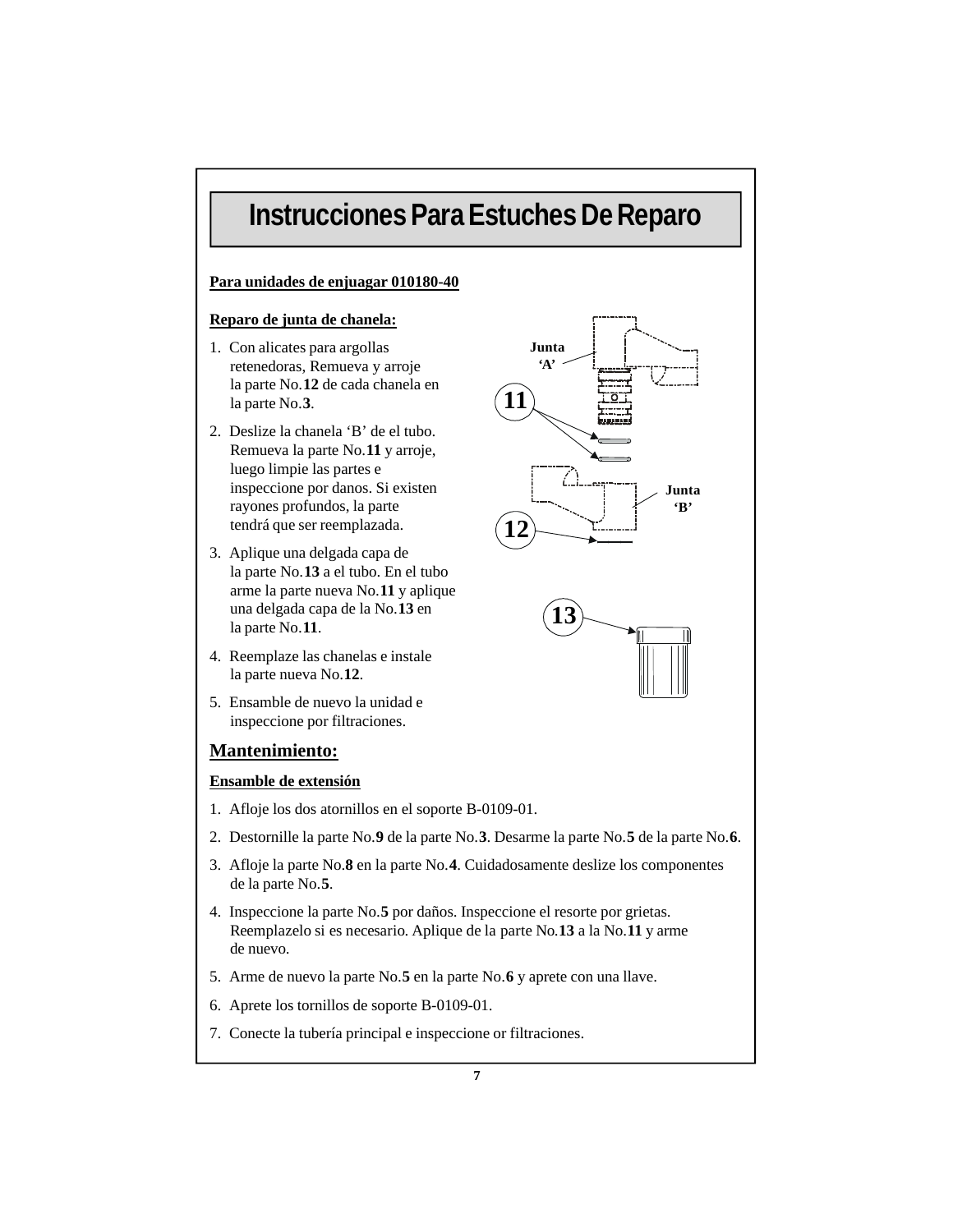### **Instrucciones Para Estuches De Reparo**

#### **Para unidades de enjuagar 010180-40**

#### **Reparo de junta de chanela:**

- 1. Con alicates para argollas retenedoras, Remueva y arroje la parte No.**12** de cada chanela en la parte No.**3**.
- 2. Deslize la chanela 'B' de el tubo. Remueva la parte No.**11** y arroje, luego limpie las partes e inspeccione por danos. Si existen rayones profundos, la parte tendrá que ser reemplazada.
- 3. Aplique una delgada capa de la parte No.**13** a el tubo. En el tubo arme la parte nueva No.**11** y aplique una delgada capa de la No.**13** en la parte No.**11**.
- 4. Reemplaze las chanelas e instale la parte nueva No.**12**.
- 5. Ensamble de nuevo la unidad e inspeccione por filtraciones.

#### **Mantenimiento:**

#### **Ensamble de extensión**

- 1. Afloje los dos atornillos en el soporte B-0109-01.
- 2. Destornille la parte No.**9** de la parte No.**3**. Desarme la parte No.**5** de la parte No.**6**.
- 3. Afloje la parte No.**8** en la parte No.**4**. Cuidadosamente deslize los componentes de la parte No.**5**.
- 4. Inspeccione la parte No.**5** por daños. Inspeccione el resorte por grietas. Reemplazelo si es necesario. Aplique de la parte No.**13** a la No.**11** y arme de nuevo.
- 5. Arme de nuevo la parte No.**5** en la parte No.**6** y aprete con una llave.
- 6. Aprete los tornillos de soporte B-0109-01.
- 7. Conecte la tubería principal e inspeccione or filtraciones.